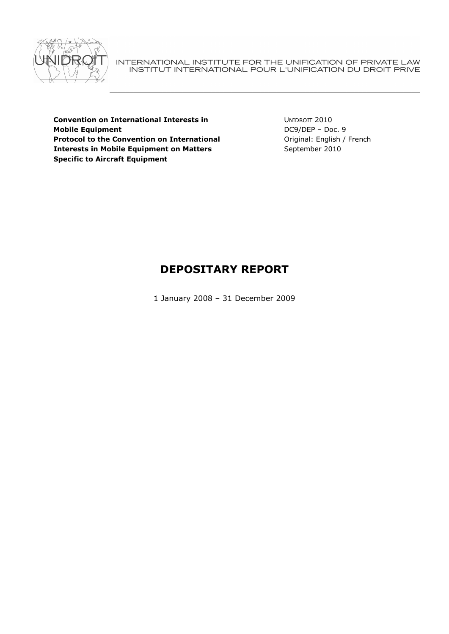

INTERNATIONAL INSTITUTE FOR THE UNIFICATION OF PRIVATE LAW<br>INSTITUT INTERNATIONAL POUR L'UNIFICATION DU DROIT PRIVE

Convention on International Interests in Mobile Equipment Protocol to the Convention on International Interests in Mobile Equipment on Matters Specific to Aircraft Equipment

UNIDROIT 2010 DC9/DEP – Doc. 9 Original: English / French September 2010

# DEPOSITARY REPORT

1 January 2008 – 31 December 2009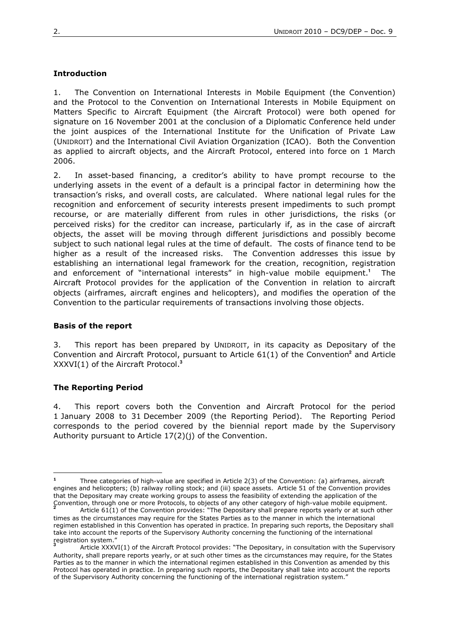# **Introduction**

1. The Convention on International Interests in Mobile Equipment (the Convention) and the Protocol to the Convention on International Interests in Mobile Equipment on Matters Specific to Aircraft Equipment (the Aircraft Protocol) were both opened for signature on 16 November 2001 at the conclusion of a Diplomatic Conference held under the joint auspices of the International Institute for the Unification of Private Law (UNIDROIT) and the International Civil Aviation Organization (ICAO). Both the Convention as applied to aircraft objects, and the Aircraft Protocol, entered into force on 1 March 2006.

2. In asset-based financing, a creditor's ability to have prompt recourse to the underlying assets in the event of a default is a principal factor in determining how the transaction's risks, and overall costs, are calculated. Where national legal rules for the recognition and enforcement of security interests present impediments to such prompt recourse, or are materially different from rules in other jurisdictions, the risks (or perceived risks) for the creditor can increase, particularly if, as in the case of aircraft objects, the asset will be moving through different jurisdictions and possibly become subject to such national legal rules at the time of default. The costs of finance tend to be higher as a result of the increased risks. The Convention addresses this issue by establishing an international legal framework for the creation, recognition, registration and enforcement of "international interests" in high-value mobile equipment.**<sup>1</sup>** The Aircraft Protocol provides for the application of the Convention in relation to aircraft objects (airframes, aircraft engines and helicopters), and modifies the operation of the Convention to the particular requirements of transactions involving those objects.

## Basis of the report

3. This report has been prepared by UNIDROIT, in its capacity as Depositary of the Convention and Aircraft Protocol, pursuant to Article 61(1) of the Convention<sup>2</sup> and Article XXXVI(1) of the Aircraft Protocol.**<sup>3</sup>**

# The Reporting Period

 $\overline{a}$ 

4. This report covers both the Convention and Aircraft Protocol for the period 1 January 2008 to 31 December 2009 (the Reporting Period). The Reporting Period corresponds to the period covered by the biennial report made by the Supervisory Authority pursuant to Article 17(2)(j) of the Convention.

<sup>1</sup> Three categories of high-value are specified in Article 2(3) of the Convention: (a) airframes, aircraft engines and helicopters; (b) railway rolling stock; and (iii) space assets. Article 51 of the Convention provides that the Depositary may create working groups to assess the feasibility of extending the application of the Convention, through one or more Protocols, to objects of any other category of high-value mobile equipment. **2**

Article 61(1) of the Convention provides: "The Depositary shall prepare reports yearly or at such other times as the circumstances may require for the States Parties as to the manner in which the international regimen established in this Convention has operated in practice. In preparing such reports, the Depositary shall take into account the reports of the Supervisory Authority concerning the functioning of the international registration system." **3**

Article XXXVI(1) of the Aircraft Protocol provides: "The Depositary, in consultation with the Supervisory Authority, shall prepare reports yearly, or at such other times as the circumstances may require, for the States Parties as to the manner in which the international regimen established in this Convention as amended by this Protocol has operated in practice. In preparing such reports, the Depositary shall take into account the reports of the Supervisory Authority concerning the functioning of the international registration system."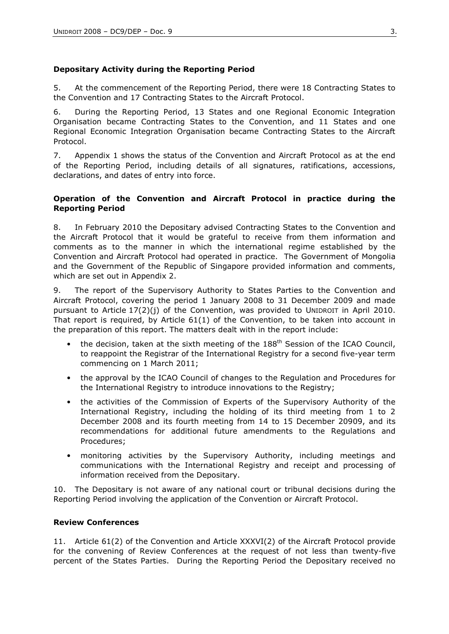# Depositary Activity during the Reporting Period

5. At the commencement of the Reporting Period, there were 18 Contracting States to the Convention and 17 Contracting States to the Aircraft Protocol.

6. During the Reporting Period, 13 States and one Regional Economic Integration Organisation became Contracting States to the Convention, and 11 States and one Regional Economic Integration Organisation became Contracting States to the Aircraft Protocol.

7. Appendix 1 shows the status of the Convention and Aircraft Protocol as at the end of the Reporting Period, including details of all signatures, ratifications, accessions, declarations, and dates of entry into force.

## Operation of the Convention and Aircraft Protocol in practice during the Reporting Period

8. In February 2010 the Depositary advised Contracting States to the Convention and the Aircraft Protocol that it would be grateful to receive from them information and comments as to the manner in which the international regime established by the Convention and Aircraft Protocol had operated in practice. The Government of Mongolia and the Government of the Republic of Singapore provided information and comments, which are set out in Appendix 2.

9. The report of the Supervisory Authority to States Parties to the Convention and Aircraft Protocol, covering the period 1 January 2008 to 31 December 2009 and made pursuant to Article  $17(2)(i)$  of the Convention, was provided to UNIDROIT in April 2010. That report is required, by Article 61(1) of the Convention, to be taken into account in the preparation of this report. The matters dealt with in the report include:

- the decision, taken at the sixth meeting of the  $188<sup>th</sup>$  Session of the ICAO Council, to reappoint the Registrar of the International Registry for a second five-year term commencing on 1 March 2011;
- the approval by the ICAO Council of changes to the Regulation and Procedures for the International Registry to introduce innovations to the Registry;
- the activities of the Commission of Experts of the Supervisory Authority of the International Registry, including the holding of its third meeting from 1 to 2 December 2008 and its fourth meeting from 14 to 15 December 20909, and its recommendations for additional future amendments to the Regulations and Procedures;
- monitoring activities by the Supervisory Authority, including meetings and communications with the International Registry and receipt and processing of information received from the Depositary.

10. The Depositary is not aware of any national court or tribunal decisions during the Reporting Period involving the application of the Convention or Aircraft Protocol.

# Review Conferences

11. Article 61(2) of the Convention and Article XXXVI(2) of the Aircraft Protocol provide for the convening of Review Conferences at the request of not less than twenty-five percent of the States Parties. During the Reporting Period the Depositary received no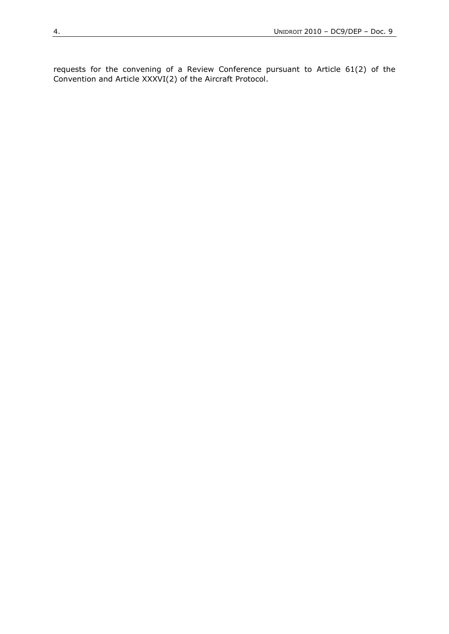requests for the convening of a Review Conference pursuant to Article 61(2) of the Convention and Article XXXVI(2) of the Aircraft Protocol.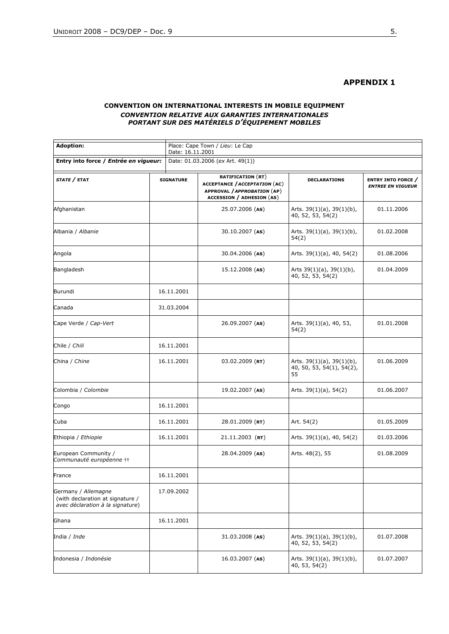#### APPENDIX 1

#### CONVENTION ON INTERNATIONAL INTERESTS IN MOBILE EQUIPMENT CONVENTION RELATIVE AUX GARANTIES INTERNATIONALES PORTANT SUR DES MATÉRIELS D'ÉQUIPEMENT MOBILES

| <b>Adoption:</b><br>Entry into force / Entrée en vigueur:                                   |  | Place: Cape Town / Lieu: Le Cap<br>Date: 16.11.2001 |                                                                                                                                     |                                                                    |                                                       |
|---------------------------------------------------------------------------------------------|--|-----------------------------------------------------|-------------------------------------------------------------------------------------------------------------------------------------|--------------------------------------------------------------------|-------------------------------------------------------|
|                                                                                             |  | Date: 01.03.2006 (ex Art. 49(1))                    |                                                                                                                                     |                                                                    |                                                       |
| STATE / ETAT                                                                                |  | <b>SIGNATURE</b>                                    | <b>RATIFICATION (RT)</b><br><b>ACCEPTANCE / ACCEPTATION (AC)</b><br>APPROVAL / APPROBATION (AP)<br><b>ACCESSION / ADHESION (AS)</b> | <b>DECLARATIONS</b>                                                | <b>ENTRY INTO FORCE</b> /<br><b>ENTREE EN VIGUEUR</b> |
| Afghanistan                                                                                 |  |                                                     | 25.07.2006 (AS)                                                                                                                     | Arts. $39(1)(a)$ , $39(1)(b)$ ,<br>40, 52, 53, 54(2)               | 01.11.2006                                            |
| Albania / Albanie                                                                           |  |                                                     | 30.10.2007 (AS)                                                                                                                     | Arts. $39(1)(a)$ , $39(1)(b)$ ,<br>54(2)                           | 01.02.2008                                            |
| Angola                                                                                      |  |                                                     | 30.04.2006 (AS)                                                                                                                     | Arts. 39(1)(a), 40, 54(2)                                          | 01.08.2006                                            |
| Bangladesh                                                                                  |  |                                                     | $15.12.2008$ (AS)                                                                                                                   | Arts $39(1)(a)$ , $39(1)(b)$ ,<br>40, 52, 53, 54(2)                | 01.04.2009                                            |
| Burundi                                                                                     |  | 16.11.2001                                          |                                                                                                                                     |                                                                    |                                                       |
| Canada                                                                                      |  | 31.03.2004                                          |                                                                                                                                     |                                                                    |                                                       |
| Cape Verde / Cap-Vert                                                                       |  |                                                     | 26.09.2007 (AS)                                                                                                                     | Arts. 39(1)(a), 40, 53,<br>54(2)                                   | 01.01.2008                                            |
| Chile / Chili                                                                               |  | 16.11.2001                                          |                                                                                                                                     |                                                                    |                                                       |
| China / Chine                                                                               |  | 16.11.2001                                          | $03.02.2009$ (RT)                                                                                                                   | Arts. $39(1)(a)$ , $39(1)(b)$ ,<br>40, 50, 53, 54(1), 54(2),<br>55 | 01.06.2009                                            |
| Colombia / Colombie                                                                         |  |                                                     | 19.02.2007 (AS)                                                                                                                     | Arts. $39(1)(a)$ , 54(2)                                           | 01.06.2007                                            |
| Congo                                                                                       |  | 16.11.2001                                          |                                                                                                                                     |                                                                    |                                                       |
| Cuba                                                                                        |  | 16.11.2001                                          | 28.01.2009 (RT)                                                                                                                     | Art. 54(2)                                                         | 01.05.2009                                            |
| Ethiopia / Ethiopie                                                                         |  | 16.11.2001                                          | $21.11.2003$ (RT)                                                                                                                   | Arts. 39(1)(a), 40, 54(2)                                          | 01.03.2006                                            |
| European Community /<br>Communauté européenne ††                                            |  |                                                     | 28.04.2009 (AS)                                                                                                                     | Arts. 48(2), 55                                                    | 01.08.2009                                            |
| France                                                                                      |  | 16.11.2001                                          |                                                                                                                                     |                                                                    |                                                       |
| Germany / Allemagne<br>(with declaration at signature /<br>avec déclaration à la signature) |  | 17.09.2002                                          |                                                                                                                                     |                                                                    |                                                       |
| Ghana                                                                                       |  | 16.11.2001                                          |                                                                                                                                     |                                                                    |                                                       |
| India / Inde                                                                                |  |                                                     | 31.03.2008 (AS)                                                                                                                     | Arts. 39(1)(a), 39(1)(b),<br>40, 52, 53, 54(2)                     | 01.07.2008                                            |
| Indonesia / Indonésie                                                                       |  |                                                     | $16.03.2007$ (AS)                                                                                                                   | Arts. 39(1)(a), 39(1)(b),<br>40, 53, 54(2)                         | 01.07.2007                                            |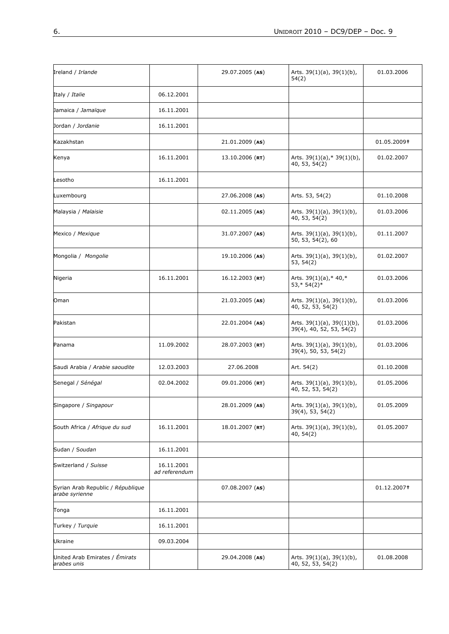| Ireland / Irlande                                   |                             | 29.07.2005 (AS)   | Arts. $39(1)(a)$ , $39(1)(b)$ ,<br>54(2)                     | 01.03.2006  |
|-----------------------------------------------------|-----------------------------|-------------------|--------------------------------------------------------------|-------------|
| Italy / Italie                                      | 06.12.2001                  |                   |                                                              |             |
| Jamaica / Jamaïque                                  | 16.11.2001                  |                   |                                                              |             |
| Jordan / Jordanie                                   | 16.11.2001                  |                   |                                                              |             |
| Kazakhstan                                          |                             | 21.01.2009 (AS)   |                                                              | 01.05.2009+ |
| Kenya                                               | 16.11.2001                  | $13.10.2006$ (RT) | Arts. 39(1)(a),* 39(1)(b),<br>40, 53, 54(2)                  | 01.02.2007  |
| Lesotho                                             | 16.11.2001                  |                   |                                                              |             |
| Luxembourg                                          |                             | 27.06.2008 (AS)   | Arts. 53, 54(2)                                              | 01.10.2008  |
| Malaysia / Malaisie                                 |                             | 02.11.2005 (AS)   | Arts. $39(1)(a)$ , $39(1)(b)$ ,<br>40, 53, 54(2)             | 01.03.2006  |
| Mexico / Mexique                                    |                             | 31.07.2007 (AS)   | Arts. $39(1)(a)$ , $39(1)(b)$ ,<br>50, 53, 54(2), 60         | 01.11.2007  |
| Mongolia / Mongolie                                 |                             | 19.10.2006 (AS)   | Arts. $39(1)(a)$ , $39(1)(b)$ ,<br>53, 54(2)                 | 01.02.2007  |
| Nigeria                                             | 16.11.2001                  | $16.12.2003$ (RT) | Arts. $39(1)(a)$ ,* 40,*<br>$53,* 54(2)*$                    | 01.03.2006  |
| Oman                                                |                             | 21.03.2005 (AS)   | Arts. $39(1)(a)$ , $39(1)(b)$ ,<br>40, 52, 53, 54(2)         | 01.03.2006  |
| Pakistan                                            |                             | 22.01.2004 (AS)   | Arts. $39(1)(a)$ , $39((1)(b)$ ,<br>39(4), 40, 52, 53, 54(2) | 01.03.2006  |
| Panama                                              | 11.09.2002                  | 28.07.2003 (RT)   | Arts. 39(1)(a), 39(1)(b),<br>39(4), 50, 53, 54(2)            | 01.03.2006  |
| Saudi Arabia / Arabie saoudite                      | 12.03.2003                  | 27.06.2008        | Art. 54(2)                                                   | 01.10.2008  |
| Senegal / Sénégal                                   | 02.04.2002                  | 09.01.2006 (RT)   | Arts. $39(1)(a)$ , $39(1)(b)$ ,<br>40, 52, 53, 54(2)         | 01.05.2006  |
| Singapore / Singapour                               |                             | 28.01.2009 (AS)   | Arts. 39(1)(a), 39(1)(b),<br>39(4), 53, 54(2)                | 01.05.2009  |
| South Africa / Afrique du sud                       | 16.11.2001                  | 18.01.2007 (RT)   | Arts. 39(1)(a), 39(1)(b),<br>40, 54(2)                       | 01.05.2007  |
| Sudan / Soudan                                      | 16.11.2001                  |                   |                                                              |             |
| Switzerland / Suisse                                | 16.11.2001<br>ad referendum |                   |                                                              |             |
| Syrian Arab Republic / République<br>arabe syrienne |                             | 07.08.2007 (AS)   |                                                              | 01.12.2007+ |
| Tonga                                               | 16.11.2001                  |                   |                                                              |             |
| Turkey / Turquie                                    | 16.11.2001                  |                   |                                                              |             |
| Ukraine                                             | 09.03.2004                  |                   |                                                              |             |
| United Arab Emirates / Émirats<br>arabes unis       |                             | 29.04.2008 (AS)   | Arts. $39(1)(a)$ , $39(1)(b)$ ,<br>40, 52, 53, 54(2)         | 01.08.2008  |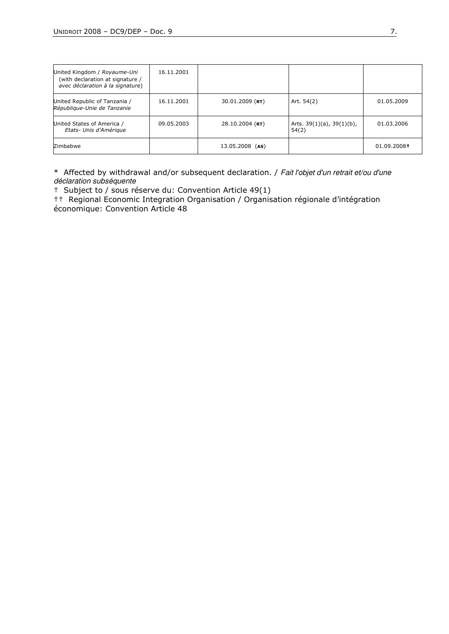| United Kingdom / Royaume-Uni<br>(with declaration at signature /<br>avec déclaration à la signature) | 16.11.2001 |                    |                                          |             |
|------------------------------------------------------------------------------------------------------|------------|--------------------|------------------------------------------|-------------|
| United Republic of Tanzania /<br>République-Unie de Tanzanie                                         | 16.11.2001 | $30.01.2009$ (RT)  | Art. 54(2)                               | 01.05.2009  |
| United States of America /<br>Etats- Unis d'Amérique                                                 | 09.05.2003 | $28.10.2004$ (RT)  | Arts. $39(1)(a)$ , $39(1)(b)$ ,<br>54(2) | 01.03.2006  |
| Zimbabwe                                                                                             |            | 13.05.2008<br>(AS) |                                          | 01.09.2008† |

\* Affected by withdrawal and/or subsequent declaration. / Fait l'objet d'un retrait et/ou d'une déclaration subséquente

† Subject to / sous réserve du: Convention Article 49(1)

†† Regional Economic Integration Organisation / Organisation régionale d'intégration économique: Convention Article 48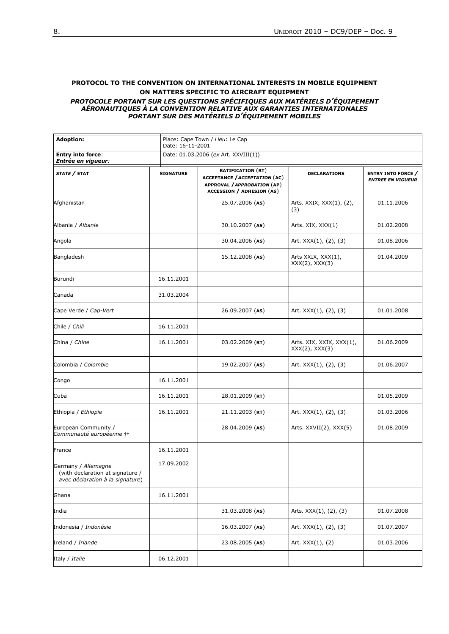#### PROTOCOL TO THE CONVENTION ON INTERNATIONAL INTERESTS IN MOBILE EQUIPMENT ON MATTERS SPECIFIC TO AIRCRAFT EQUIPMENT

#### PROTOCOLE PORTANT SUR LES QUESTIONS SPÉCIFIQUES AUX MATÉRIELS D'ÉQUIPEMENT AÉRONAUTIQUES À LA CONVENTION RELATIVE AUX GARANTIES INTERNATIONALES PORTANT SUR DES MATÉRIELS D'ÉQUIPEMENT MOBILES

| <b>Adoption:</b>                                                                            | Place: Cape Town / Lieu: Le Cap<br>Date: 16-11-2001 |                                                                                                                                     |                                                 |                                                     |  |  |
|---------------------------------------------------------------------------------------------|-----------------------------------------------------|-------------------------------------------------------------------------------------------------------------------------------------|-------------------------------------------------|-----------------------------------------------------|--|--|
| <b>Entry into force:</b><br>Entrée en vigueur:                                              |                                                     | Date: 01.03.2006 (ex Art. XXVIII(1))                                                                                                |                                                 |                                                     |  |  |
| <i>STATE /</i> ETAT                                                                         | <b>SIGNATURE</b>                                    | <b>RATIFICATION (RT)</b><br><b>ACCEPTANCE / ACCEPTATION (AC)</b><br>APPROVAL / APPROBATION (AP)<br><b>ACCESSION / ADHESION (AS)</b> | <b>DECLARATIONS</b>                             | <b>ENTRY INTO FORCE</b><br><b>ENTREE EN VIGUEUR</b> |  |  |
| Afghanistan                                                                                 |                                                     | 25.07.2006 (AS)                                                                                                                     | Arts. XXIX, XXX(1), (2),<br>(3)                 | 01.11.2006                                          |  |  |
| Albania / Albanie                                                                           |                                                     | $30.10.2007$ (AS)                                                                                                                   | Arts. XIX, XXX(1)                               | 01.02.2008                                          |  |  |
| Angola                                                                                      |                                                     | 30.04.2006 (AS)                                                                                                                     | Art. $XXX(1)$ , $(2)$ , $(3)$                   | 01.08.2006                                          |  |  |
| Bangladesh                                                                                  |                                                     | $15.12.2008$ (AS)                                                                                                                   | Arts XXIX, XXX(1),<br>$XXX(2)$ , $XXX(3)$       | 01.04.2009                                          |  |  |
| Burundi                                                                                     | 16.11.2001                                          |                                                                                                                                     |                                                 |                                                     |  |  |
| Canada                                                                                      | 31.03.2004                                          |                                                                                                                                     |                                                 |                                                     |  |  |
| Cape Verde / Cap-Vert                                                                       |                                                     | 26.09.2007 (AS)                                                                                                                     | Art. XXX(1), (2), (3)                           | 01.01.2008                                          |  |  |
| Chile / Chili                                                                               | 16.11.2001                                          |                                                                                                                                     |                                                 |                                                     |  |  |
| China / Chine                                                                               | 16.11.2001                                          | $03.02.2009$ (RT)                                                                                                                   | Arts. XIX, XXIX, XXX(1),<br>$XXX(2)$ , $XXX(3)$ | 01.06.2009                                          |  |  |
| Colombia / Colombie                                                                         |                                                     | 19.02.2007 (AS)                                                                                                                     | Art. XXX(1), (2), (3)                           | 01.06.2007                                          |  |  |
| Congo                                                                                       | 16.11.2001                                          |                                                                                                                                     |                                                 |                                                     |  |  |
| Cuba                                                                                        | 16.11.2001                                          | 28.01.2009 (RT)                                                                                                                     |                                                 | 01.05.2009                                          |  |  |
| Ethiopia / Ethiopie                                                                         | 16.11.2001                                          | $21.11.2003$ (RT)                                                                                                                   | Art. XXX(1), (2), (3)                           | 01.03.2006                                          |  |  |
| European Community /<br>Communauté européenne #                                             |                                                     | 28.04.2009 (AS)                                                                                                                     | Arts. XXVII(2), XXX(5)                          | 01.08.2009                                          |  |  |
| France                                                                                      | 16.11.2001                                          |                                                                                                                                     |                                                 |                                                     |  |  |
| Germany / Allemagne<br>(with declaration at signature /<br>avec déclaration à la signature) | 17.09.2002                                          |                                                                                                                                     |                                                 |                                                     |  |  |
| Ghana                                                                                       | 16.11.2001                                          |                                                                                                                                     |                                                 |                                                     |  |  |
| India                                                                                       |                                                     | $31.03.2008$ (AS)                                                                                                                   | Arts. XXX(1), (2), (3)                          | 01.07.2008                                          |  |  |
| Indonesia / Indonésie                                                                       |                                                     | $16.03.2007$ (AS)                                                                                                                   | Art. XXX(1), (2), (3)                           | 01.07.2007                                          |  |  |
| Ireland / Irlande                                                                           |                                                     | 23.08.2005 (AS)                                                                                                                     | Art. XXX(1), (2)                                | 01.03.2006                                          |  |  |
| Italy / Italie                                                                              | 06.12.2001                                          |                                                                                                                                     |                                                 |                                                     |  |  |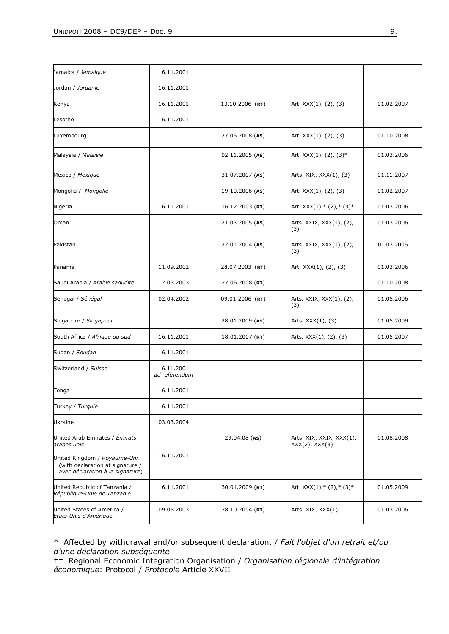| Jamaica / Jamaïque                                                                                   | 16.11.2001                  |                   |                                                 |            |
|------------------------------------------------------------------------------------------------------|-----------------------------|-------------------|-------------------------------------------------|------------|
| Jordan / Jordanie                                                                                    | 16.11.2001                  |                   |                                                 |            |
| Kenya                                                                                                | 16.11.2001                  | $13.10.2006$ (RT) | Art. XXX(1), (2), (3)                           | 01.02.2007 |
| Lesotho                                                                                              | 16.11.2001                  |                   |                                                 |            |
| Luxembourg                                                                                           |                             | 27.06.2008 (AS)   | Art. XXX(1), (2), (3)                           | 01.10.2008 |
| Malaysia / Malaisie                                                                                  |                             | 02.11.2005 (AS)   | Art. XXX(1), (2), (3)*<br>01.03.2006            |            |
| Mexico / Mexique                                                                                     |                             | 31.07.2007 (AS)   | Arts. XIX, XXX(1), (3)                          | 01.11.2007 |
| Mongolia / Mongolie                                                                                  |                             | 19.10.2006 (AS)   | Art. XXX(1), (2), (3)                           | 01.02.2007 |
| Nigeria                                                                                              | 16.11.2001                  | 16.12.2003 (RT)   | Art. $XXX(1), * (2), * (3)*$                    | 01.03.2006 |
| Oman                                                                                                 |                             | 21.03.2005 (AS)   | Arts. XXIX, XXX(1), (2),<br>(3)                 | 01.03.2006 |
| Pakistan                                                                                             |                             | 22.01.2004 (AS)   | Arts. XXIX, XXX(1), (2),<br>(3)                 | 01.03.2006 |
| Panama                                                                                               | 11.09.2002                  | 28.07.2003 (RT)   | Art. XXX(1), (2), (3)                           | 01.03.2006 |
| Saudi Arabia / Arabie saoudite                                                                       | 12.03.2003                  | 27.06.2008 (RT)   |                                                 | 01.10.2008 |
| Senegal / Sénégal                                                                                    | 02.04.2002                  | 09.01.2006 (RT)   | Arts. XXIX, XXX(1), (2),<br>(3)                 | 01.05.2006 |
| Singapore / Singapour                                                                                |                             | 28.01.2009 (AS)   | Arts. XXX(1), (3)                               | 01.05.2009 |
| South Africa / Afrique du sud                                                                        | 16.11.2001                  | 18.01.2007 (RT)   | Arts. XXX(1), (2), (3)                          | 01.05.2007 |
| Sudan / Soudan                                                                                       | 16.11.2001                  |                   |                                                 |            |
| Switzerland / Suisse                                                                                 | 16.11.2001<br>ad referendum |                   |                                                 |            |
| Tonga                                                                                                | 16.11.2001                  |                   |                                                 |            |
| Turkey / Turquie                                                                                     | 16.11.2001                  |                   |                                                 |            |
| <b>Ukraine</b>                                                                                       | 03.03.2004                  |                   |                                                 |            |
| United Arab Emirates / Émirats<br>arabes unis                                                        |                             | 29.04.08 (AS)     | Arts. XIX, XXIX, XXX(1),<br>$XXX(2)$ , $XXX(3)$ | 01.08.2008 |
| United Kingdom / Royaume-Uni<br>(with declaration at signature /<br>avec déclaration à la signature) | 16.11.2001                  |                   |                                                 |            |
| United Republic of Tanzania /<br>République-Unie de Tanzanie                                         | 16.11.2001                  | 30.01.2009 (RT)   | Art. $XXX(1), * (2), * (3)*$                    | 01.05.2009 |
| United States of America /<br>Etats-Unis d'Amérique                                                  | 09.05.2003                  | 28.10.2004 (RT)   | Arts. XIX, XXX(1)                               | 01.03.2006 |

\* Affected by withdrawal and/or subsequent declaration. / Fait l'objet d'un retrait et/ou d'une déclaration subséquente

†† Regional Economic Integration Organisation / Organisation régionale d'intégration économique: Protocol / Protocole Article XXVII